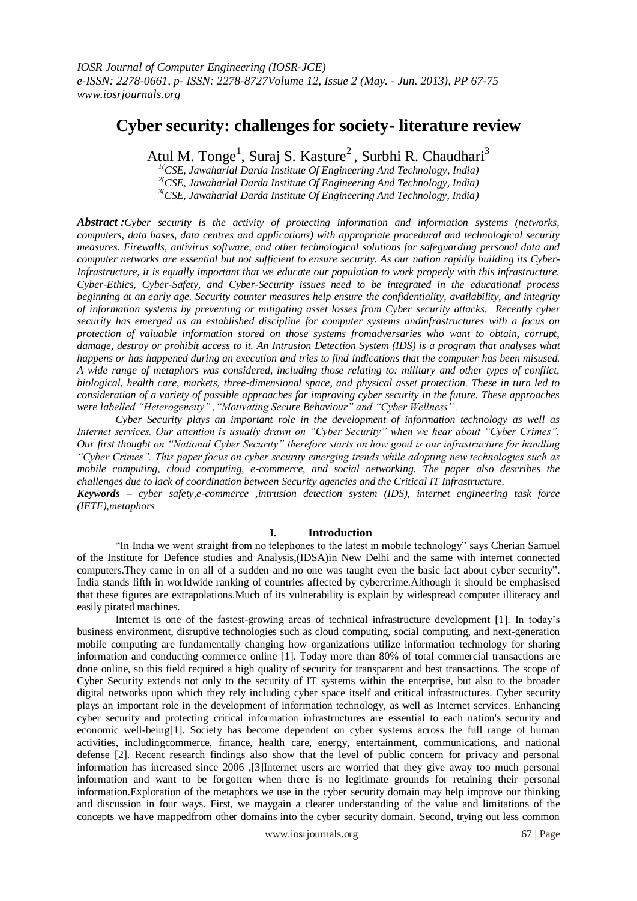# **Cyber security: challenges for society- literature review**

Atul M. Tonge<sup>1</sup>, Suraj S. Kasture<sup>2</sup>, Surbhi R. Chaudhari<sup>3</sup>

*1(CSE, Jawaharlal Darda Institute Of Engineering And Technology, India) 2(CSE, Jawaharlal Darda Institute Of Engineering And Technology, India) 3(CSE, Jawaharlal Darda Institute Of Engineering And Technology, India)*

*Abstract :Cyber security is the activity of protecting information and information systems (networks, computers, data bases, data centres and applications) with appropriate procedural and technological security measures. Firewalls, antivirus software, and other technological solutions for safeguarding personal data and computer networks are essential but not sufficient to ensure security. As our nation rapidly building its Cyber-Infrastructure, it is equally important that we educate our population to work properly with this infrastructure. Cyber-Ethics, Cyber-Safety, and Cyber-Security issues need to be integrated in the educational process beginning at an early age. Security counter measures help ensure the confidentiality, availability, and integrity of information systems by preventing or mitigating asset losses from Cyber security attacks. Recently cyber security has emerged as an established discipline for computer systems andinfrastructures with a focus on protection of valuable information stored on those systems fromadversaries who want to obtain, corrupt, damage, destroy or prohibit access to it. An Intrusion Detection System (IDS) is a program that analyses what happens or has happened during an execution and tries to find indications that the computer has been misused. A wide range of metaphors was considered, including those relating to: military and other types of conflict, biological, health care, markets, three-dimensional space, and physical asset protection. These in turn led to consideration of a variety of possible approaches for improving cyber security in the future. These approaches were labelled "Heterogeneity" ,"Motivating Secure Behaviour" and "Cyber Wellness" .*

*Cyber Security plays an important role in the development of information technology as well as Internet services. Our attention is usually drawn on "Cyber Security" when we hear about "Cyber Crimes". Our first thought on "National Cyber Security" therefore starts on how good is our infrastructure for handling "Cyber Crimes". This paper focus on cyber security emerging trends while adopting new technologies such as mobile computing, cloud computing, e-commerce, and social networking. The paper also describes the challenges due to lack of coordination between Security agencies and the Critical IT Infrastructure.*

*Keywords – cyber safety,e-commerce ,intrusion detection system (IDS), internet engineering task force (IETF),metaphors*

# **I. Introduction**

"In India we went straight from no telephones to the latest in mobile technology" says Cherian Samuel of the Institute for Defence studies and Analysis,(IDSA)in New Delhi and the same with internet connected computers. They came in on all of a sudden and no one was taught even the basic fact about cyber security". India stands fifth in worldwide ranking of countries affected by cybercrime.Although it should be emphasised that these figures are extrapolations.Much of its vulnerability is explain by widespread computer illiteracy and easily pirated machines.

Internet is one of the fastest-growing areas of technical infrastructure development [1]. In today's business environment, disruptive technologies such as cloud computing, social computing, and next-generation mobile computing are fundamentally changing how organizations utilize information technology for sharing information and conducting commerce online [1]. Today more than 80% of total commercial transactions are done online, so this field required a high quality of security for transparent and best transactions. The scope of Cyber Security extends not only to the security of IT systems within the enterprise, but also to the broader digital networks upon which they rely including cyber space itself and critical infrastructures. Cyber security plays an important role in the development of information technology, as well as Internet services. Enhancing cyber security and protecting critical information infrastructures are essential to each nation's security and economic well-being[1]. Society has become dependent on cyber systems across the full range of human activities, includingcommerce, finance, health care, energy, entertainment, communications, and national defense [2]. Recent research findings also show that the level of public concern for privacy and personal information has increased since 2006 ,[3]Internet users are worried that they give away too much personal information and want to be forgotten when there is no legitimate grounds for retaining their personal information.Exploration of the metaphors we use in the cyber security domain may help improve our thinking and discussion in four ways. First, we maygain a clearer understanding of the value and limitations of the concepts we have mappedfrom other domains into the cyber security domain. Second, trying out less common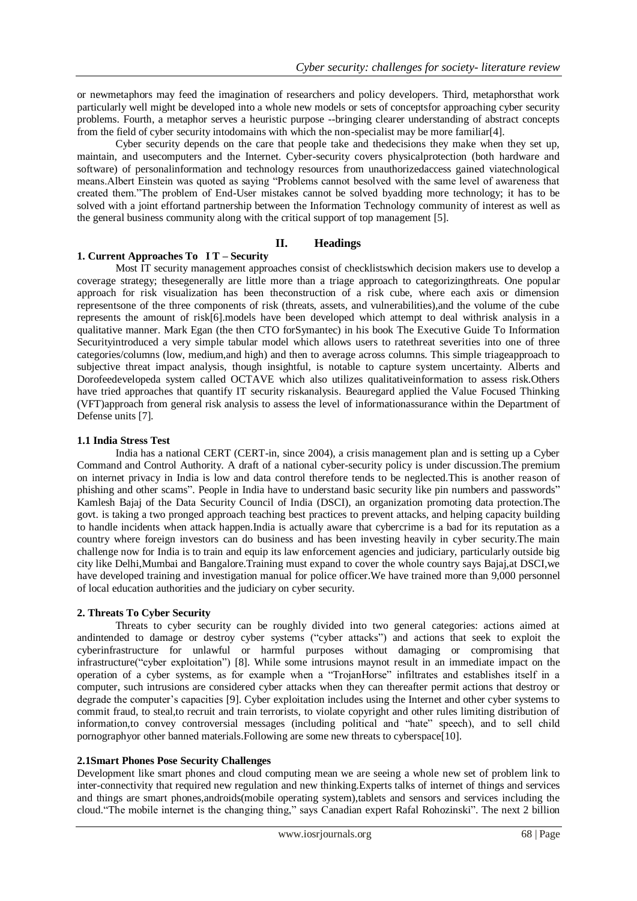or newmetaphors may feed the imagination of researchers and policy developers. Third, metaphorsthat work particularly well might be developed into a whole new models or sets of conceptsfor approaching cyber security problems. Fourth, a metaphor serves a heuristic purpose --bringing clearer understanding of abstract concepts from the field of cyber security intodomains with which the non-specialist may be more familiar[4].

Cyber security depends on the care that people take and thedecisions they make when they set up, maintain, and usecomputers and the Internet. Cyber-security covers physicalprotection (both hardware and software) of personalinformation and technology resources from unauthorizedaccess gained viatechnological means. Albert Einstein was quoted as saying "Problems cannot besolved with the same level of awareness that created them."The problem of End-User mistakes cannot be solved byadding more technology; it has to be solved with a joint effortand partnership between the Information Technology community of interest as well as the general business community along with the critical support of top management [5].

#### **II. Headings**

### **1. Current Approaches To I T – Security**

Most IT security management approaches consist of checklistswhich decision makers use to develop a coverage strategy; thesegenerally are little more than a triage approach to categorizingthreats. One popular approach for risk visualization has been theconstruction of a risk cube, where each axis or dimension representsone of the three components of risk (threats, assets, and vulnerabilities),and the volume of the cube represents the amount of risk[6].models have been developed which attempt to deal withrisk analysis in a qualitative manner. Mark Egan (the then CTO forSymantec) in his book The Executive Guide To Information Securityintroduced a very simple tabular model which allows users to ratethreat severities into one of three categories/columns (low, medium,and high) and then to average across columns. This simple triageapproach to subjective threat impact analysis, though insightful, is notable to capture system uncertainty. Alberts and Dorofeedevelopeda system called OCTAVE which also utilizes qualitativeinformation to assess risk.Others have tried approaches that quantify IT security riskanalysis. Beauregard applied the Value Focused Thinking (VFT)approach from general risk analysis to assess the level of informationassurance within the Department of Defense units [7].

#### **1.1 India Stress Test**

India has a national CERT (CERT-in, since 2004), a crisis management plan and is setting up a Cyber Command and Control Authority. A draft of a national cyber-security policy is under discussion.The premium on internet privacy in India is low and data control therefore tends to be neglected.This is another reason of phishing and other scams". People in India have to understand basic security like pin numbers and passwords" Kamlesh Bajaj of the Data Security Council of India (DSCI), an organization promoting data protection.The govt. is taking a two pronged approach teaching best practices to prevent attacks, and helping capacity building to handle incidents when attack happen.India is actually aware that cybercrime is a bad for its reputation as a country where foreign investors can do business and has been investing heavily in cyber security.The main challenge now for India is to train and equip its law enforcement agencies and judiciary, particularly outside big city like Delhi,Mumbai and Bangalore.Training must expand to cover the whole country says Bajaj,at DSCI,we have developed training and investigation manual for police officer.We have trained more than 9,000 personnel of local education authorities and the judiciary on cyber security.

#### **2. Threats To Cyber Security**

Threats to cyber security can be roughly divided into two general categories: actions aimed at andintended to damage or destroy cyber systems ("cyber attacks") and actions that seek to exploit the cyberinfrastructure for unlawful or harmful purposes without damaging or compromising that infrastructure("cyber exploitation") [8]. While some intrusions maynot result in an immediate impact on the operation of a cyber systems, as for example when a "TrojanHorse" infiltrates and establishes itself in a computer, such intrusions are considered cyber attacks when they can thereafter permit actions that destroy or degrade the computer's capacities [9]. Cyber exploitation includes using the Internet and other cyber systems to commit fraud, to steal,to recruit and train terrorists, to violate copyright and other rules limiting distribution of information, to convey controversial messages (including political and "hate" speech), and to sell child pornographyor other banned materials.Following are some new threats to cyberspace[10].

#### **2.1Smart Phones Pose Security Challenges**

Development like smart phones and cloud computing mean we are seeing a whole new set of problem link to inter-connectivity that required new regulation and new thinking.Experts talks of internet of things and services and things are smart phones,androids(mobile operating system),tablets and sensors and services including the cloud. "The mobile internet is the changing thing," says Canadian expert Rafal Rohozinski". The next 2 billion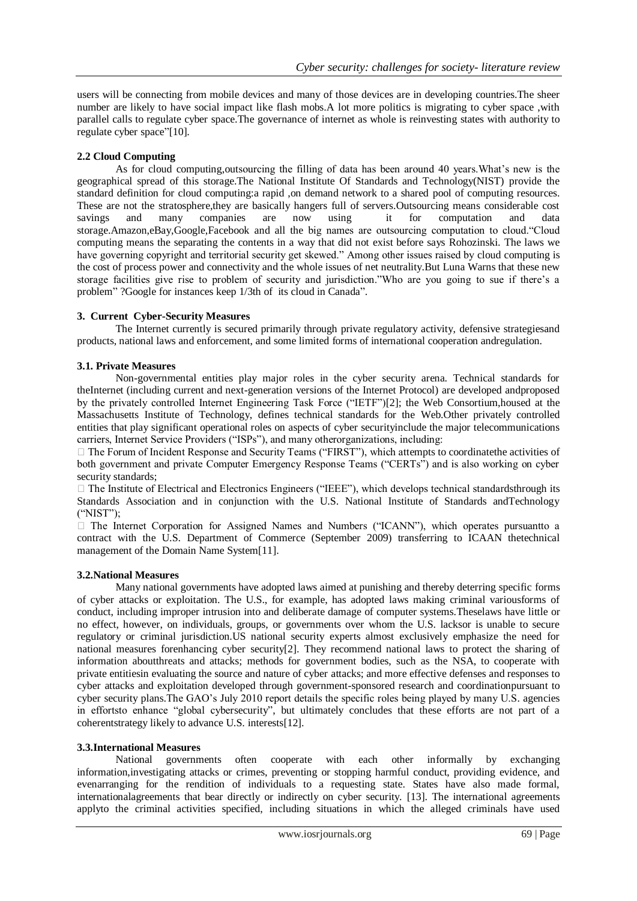users will be connecting from mobile devices and many of those devices are in developing countries.The sheer number are likely to have social impact like flash mobs.A lot more politics is migrating to cyber space ,with parallel calls to regulate cyber space.The governance of internet as whole is reinvesting states with authority to regulate cyber space"[10].

# **2.2 Cloud Computing**

As for cloud computing,outsourcing the filling of data has been around 40 years.What's new is the geographical spread of this storage.The National Institute Of Standards and Technology(NIST) provide the standard definition for cloud computing:a rapid ,on demand network to a shared pool of computing resources. These are not the stratosphere,they are basically hangers full of servers.Outsourcing means considerable cost savings and many companies are now using it for computation and data storage.Amazon,eBay,Google,Facebook and all the big names are outsourcing computation to cloud. "Cloud" computing means the separating the contents in a way that did not exist before says Rohozinski. The laws we have governing copyright and territorial security get skewed." Among other issues raised by cloud computing is the cost of process power and connectivity and the whole issues of net neutrality.But Luna Warns that these new storage facilities give rise to problem of security and jurisdiction. Who are you going to sue if there's a problem" ?Google for instances keep 1/3th of its cloud in Canada".

### **3. Current Cyber-Security Measures**

The Internet currently is secured primarily through private regulatory activity, defensive strategiesand products, national laws and enforcement, and some limited forms of international cooperation andregulation.

# **3.1. Private Measures**

Non-governmental entities play major roles in the cyber security arena. Technical standards for theInternet (including current and next-generation versions of the Internet Protocol) are developed andproposed by the privately controlled Internet Engineering Task Force ("IETF")[2]; the Web Consortium,housed at the Massachusetts Institute of Technology, defines technical standards for the Web.Other privately controlled entities that play significant operational roles on aspects of cyber securityinclude the major telecommunications carriers, Internet Service Providers ("ISPs"), and many otherorganizations, including:

 $\Box$  The Forum of Incident Response and Security Teams ("FIRST"), which attempts to coordinate the activities of both government and private Computer Emergency Response Teams ("CERTs") and is also working on cyber security standards;

 $\Box$  The Institute of Electrical and Electronics Engineers ("IEEE"), which develops technical standardsthrough its Standards Association and in conjunction with the U.S. National Institute of Standards andTechnology  $("NIST")$ ;

 $\Box$  The Internet Corporation for Assigned Names and Numbers ("ICANN"), which operates pursuantto a contract with the U.S. Department of Commerce (September 2009) transferring to ICAAN thetechnical management of the Domain Name System[11].

### **3.2.National Measures**

Many national governments have adopted laws aimed at punishing and thereby deterring specific forms of cyber attacks or exploitation. The U.S., for example, has adopted laws making criminal variousforms of conduct, including improper intrusion into and deliberate damage of computer systems.Theselaws have little or no effect, however, on individuals, groups, or governments over whom the U.S. lacksor is unable to secure regulatory or criminal jurisdiction.US national security experts almost exclusively emphasize the need for national measures forenhancing cyber security[2]. They recommend national laws to protect the sharing of information aboutthreats and attacks; methods for government bodies, such as the NSA, to cooperate with private entitiesin evaluating the source and nature of cyber attacks; and more effective defenses and responses to cyber attacks and exploitation developed through government-sponsored research and coordinationpursuant to cyber security plans.The GAO's July 2010 report details the specific roles being played by many U.S. agencies in effortsto enhance "global cybersecurity", but ultimately concludes that these efforts are not part of a coherentstrategy likely to advance U.S. interests[12].

### **3.3.International Measures**

National governments often cooperate with each other informally by exchanging information,investigating attacks or crimes, preventing or stopping harmful conduct, providing evidence, and evenarranging for the rendition of individuals to a requesting state. States have also made formal, internationalagreements that bear directly or indirectly on cyber security. [13]. The international agreements applyto the criminal activities specified, including situations in which the alleged criminals have used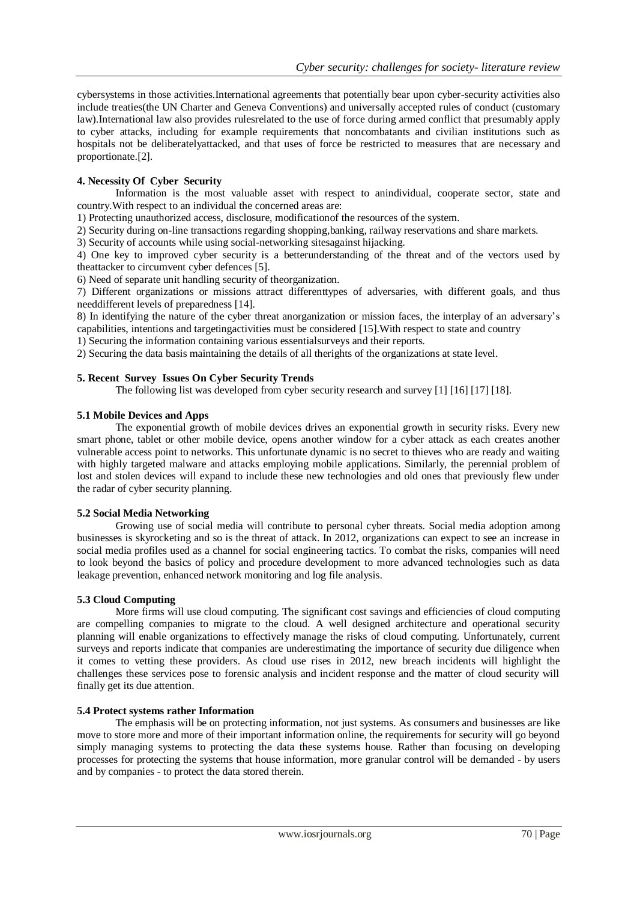cybersystems in those activities.International agreements that potentially bear upon cyber-security activities also include treaties(the UN Charter and Geneva Conventions) and universally accepted rules of conduct (customary law).International law also provides rulesrelated to the use of force during armed conflict that presumably apply to cyber attacks, including for example requirements that noncombatants and civilian institutions such as hospitals not be deliberatelyattacked, and that uses of force be restricted to measures that are necessary and proportionate.[2].

### **4. Necessity Of Cyber Security**

Information is the most valuable asset with respect to anindividual, cooperate sector, state and country.With respect to an individual the concerned areas are:

1) Protecting unauthorized access, disclosure, modificationof the resources of the system.

2) Security during on-line transactions regarding shopping,banking, railway reservations and share markets.

3) Security of accounts while using social-networking sitesagainst hijacking.

4) One key to improved cyber security is a betterunderstanding of the threat and of the vectors used by theattacker to circumvent cyber defences [5].

6) Need of separate unit handling security of theorganization.

7) Different organizations or missions attract differenttypes of adversaries, with different goals, and thus needdifferent levels of preparedness [14].

8) In identifying the nature of the cyber threat anorganization or mission faces, the interplay of an adversary's capabilities, intentions and targetingactivities must be considered [15].With respect to state and country

1) Securing the information containing various essentialsurveys and their reports.

2) Securing the data basis maintaining the details of all therights of the organizations at state level.

### **5. Recent Survey Issues On Cyber Security Trends**

The following list was developed from cyber security research and survey [1] [16] [17] [18].

### **5.1 Mobile Devices and Apps**

The exponential growth of mobile devices drives an exponential growth in security risks. Every new smart phone, tablet or other mobile device, opens another window for a cyber attack as each creates another vulnerable access point to networks. This unfortunate dynamic is no secret to thieves who are ready and waiting with highly targeted malware and attacks employing mobile applications. Similarly, the perennial problem of lost and stolen devices will expand to include these new technologies and old ones that previously flew under the radar of cyber security planning.

# **5.2 Social Media Networking**

Growing use of social media will contribute to personal cyber threats. Social media adoption among businesses is skyrocketing and so is the threat of attack. In 2012, organizations can expect to see an increase in social media profiles used as a channel for social engineering tactics. To combat the risks, companies will need to look beyond the basics of policy and procedure development to more advanced technologies such as data leakage prevention, enhanced network monitoring and log file analysis.

### **5.3 Cloud Computing**

More firms will use cloud computing. The significant cost savings and efficiencies of cloud computing are compelling companies to migrate to the cloud. A well designed architecture and operational security planning will enable organizations to effectively manage the risks of cloud computing. Unfortunately, current surveys and reports indicate that companies are underestimating the importance of security due diligence when it comes to vetting these providers. As cloud use rises in 2012, new breach incidents will highlight the challenges these services pose to forensic analysis and incident response and the matter of cloud security will finally get its due attention.

#### **5.4 Protect systems rather Information**

The emphasis will be on protecting information, not just systems. As consumers and businesses are like move to store more and more of their important information online, the requirements for security will go beyond simply managing systems to protecting the data these systems house. Rather than focusing on developing processes for protecting the systems that house information, more granular control will be demanded - by users and by companies - to protect the data stored therein.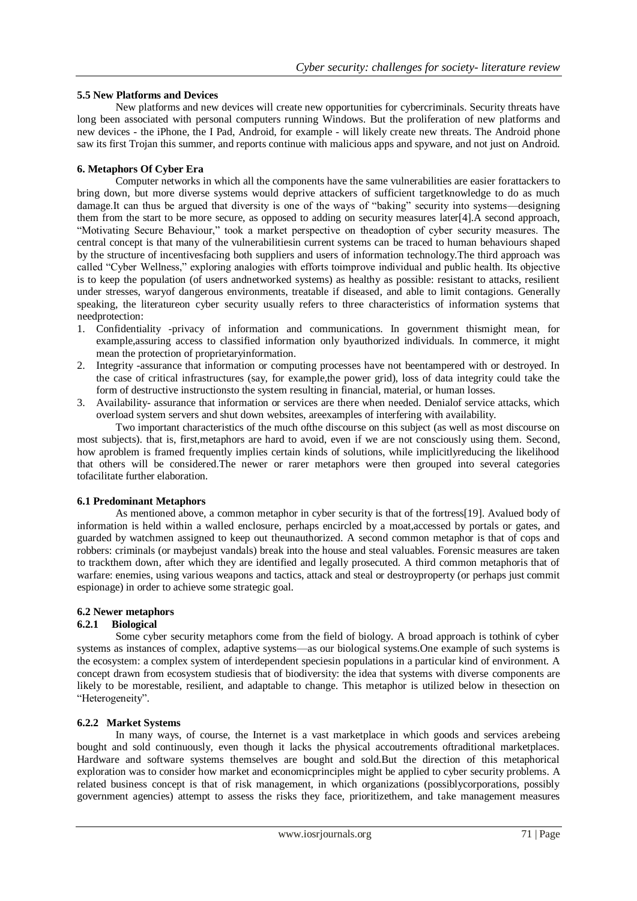### **5.5 New Platforms and Devices**

New platforms and new devices will create new opportunities for cybercriminals. Security threats have long been associated with personal computers running Windows. But the proliferation of new platforms and new devices - the iPhone, the I Pad, Android, for example - will likely create new threats. The Android phone saw its first Trojan this summer, and reports continue with malicious apps and spyware, and not just on Android.

### **6. Metaphors Of Cyber Era**

Computer networks in which all the components have the same vulnerabilities are easier forattackers to bring down, but more diverse systems would deprive attackers of sufficient targetknowledge to do as much damage.It can thus be argued that diversity is one of the ways of "baking" security into systems—designing them from the start to be more secure, as opposed to adding on security measures later[4].A second approach, ―Motivating Secure Behaviour,‖ took a market perspective on theadoption of cyber security measures. The central concept is that many of the vulnerabilitiesin current systems can be traced to human behaviours shaped by the structure of incentivesfacing both suppliers and users of information technology.The third approach was called "Cyber Wellness," exploring analogies with efforts toimprove individual and public health. Its objective is to keep the population (of users andnetworked systems) as healthy as possible: resistant to attacks, resilient under stresses, waryof dangerous environments, treatable if diseased, and able to limit contagions. Generally speaking, the literatureon cyber security usually refers to three characteristics of information systems that needprotection:

- 1. Confidentiality -privacy of information and communications. In government thismight mean, for example,assuring access to classified information only byauthorized individuals. In commerce, it might mean the protection of proprietaryinformation.
- 2. Integrity -assurance that information or computing processes have not beentampered with or destroyed. In the case of critical infrastructures (say, for example,the power grid), loss of data integrity could take the form of destructive instructionsto the system resulting in financial, material, or human losses.
- 3. Availability- assurance that information or services are there when needed. Denialof service attacks, which overload system servers and shut down websites, areexamples of interfering with availability.

Two important characteristics of the much ofthe discourse on this subject (as well as most discourse on most subjects). that is, first,metaphors are hard to avoid, even if we are not consciously using them. Second, how aproblem is framed frequently implies certain kinds of solutions, while implicitlyreducing the likelihood that others will be considered.The newer or rarer metaphors were then grouped into several categories tofacilitate further elaboration.

#### **6.1 Predominant Metaphors**

As mentioned above, a common metaphor in cyber security is that of the fortress[19]. Avalued body of information is held within a walled enclosure, perhaps encircled by a moat,accessed by portals or gates, and guarded by watchmen assigned to keep out theunauthorized. A second common metaphor is that of cops and robbers: criminals (or maybejust vandals) break into the house and steal valuables. Forensic measures are taken to trackthem down, after which they are identified and legally prosecuted. A third common metaphoris that of warfare: enemies, using various weapons and tactics, attack and steal or destroyproperty (or perhaps just commit espionage) in order to achieve some strategic goal.

### **6.2 Newer metaphors**

#### **6.2.1 Biological**

Some cyber security metaphors come from the field of biology. A broad approach is tothink of cyber systems as instances of complex, adaptive systems—as our biological systems.One example of such systems is the ecosystem: a complex system of interdependent speciesin populations in a particular kind of environment. A concept drawn from ecosystem studiesis that of biodiversity: the idea that systems with diverse components are likely to be morestable, resilient, and adaptable to change. This metaphor is utilized below in thesection on "Heterogeneity".

#### **6.2.2 Market Systems**

In many ways, of course, the Internet is a vast marketplace in which goods and services arebeing bought and sold continuously, even though it lacks the physical accoutrements oftraditional marketplaces. Hardware and software systems themselves are bought and sold.But the direction of this metaphorical exploration was to consider how market and economicprinciples might be applied to cyber security problems. A related business concept is that of risk management, in which organizations (possiblycorporations, possibly government agencies) attempt to assess the risks they face, prioritizethem, and take management measures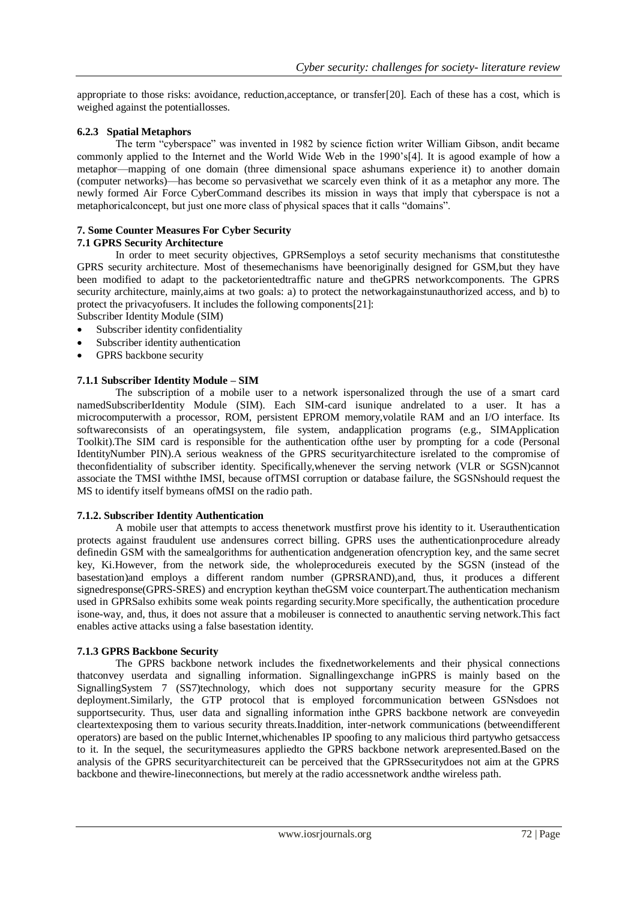appropriate to those risks: avoidance, reduction,acceptance, or transfer[20]. Each of these has a cost, which is weighed against the potentiallosses.

### **6.2.3 Spatial Metaphors**

The term "cyberspace" was invented in 1982 by science fiction writer William Gibson, andit became commonly applied to the Internet and the World Wide Web in the 1990's[4]. It is agood example of how a metaphor—mapping of one domain (three dimensional space ashumans experience it) to another domain (computer networks)—has become so pervasivethat we scarcely even think of it as a metaphor any more. The newly formed Air Force CyberCommand describes its mission in ways that imply that cyberspace is not a metaphoricalconcept, but just one more class of physical spaces that it calls "domains".

### **7. Some Counter Measures For Cyber Security**

#### **7.1 GPRS Security Architecture**

In order to meet security objectives, GPRSemploys a setof security mechanisms that constitutesthe GPRS security architecture. Most of thesemechanisms have beenoriginally designed for GSM,but they have been modified to adapt to the packetorientedtraffic nature and theGPRS networkcomponents. The GPRS security architecture, mainly,aims at two goals: a) to protect the networkagainstunauthorized access, and b) to protect the privacyofusers. It includes the following components[21]:

Subscriber Identity Module (SIM)

- Subscriber identity confidentiality
- Subscriber identity authentication
- GPRS backbone security

### **7.1.1 Subscriber Identity Module – SIM**

The subscription of a mobile user to a network ispersonalized through the use of a smart card namedSubscriberIdentity Module (SIM). Each SIM-card isunique andrelated to a user. It has a microcomputerwith a processor, ROM, persistent EPROM memory,volatile RAM and an I/O interface. Its softwareconsists of an operatingsystem, file system, andapplication programs (e.g., SIMApplication Toolkit).The SIM card is responsible for the authentication ofthe user by prompting for a code (Personal IdentityNumber PIN).A serious weakness of the GPRS securityarchitecture isrelated to the compromise of theconfidentiality of subscriber identity. Specifically,whenever the serving network (VLR or SGSN)cannot associate the TMSI withthe IMSI, because ofTMSI corruption or database failure, the SGSNshould request the MS to identify itself bymeans ofMSI on the radio path.

#### **7.1.2. Subscriber Identity Authentication**

A mobile user that attempts to access thenetwork mustfirst prove his identity to it. Userauthentication protects against fraudulent use andensures correct billing. GPRS uses the authenticationprocedure already definedin GSM with the samealgorithms for authentication andgeneration ofencryption key, and the same secret key, Ki.However, from the network side, the wholeprocedureis executed by the SGSN (instead of the basestation)and employs a different random number (GPRSRAND),and, thus, it produces a different signedresponse(GPRS-SRES) and encryption keythan theGSM voice counterpart.The authentication mechanism used in GPRSalso exhibits some weak points regarding security.More specifically, the authentication procedure isone-way, and, thus, it does not assure that a mobileuser is connected to anauthentic serving network.This fact enables active attacks using a false basestation identity.

#### **7.1.3 GPRS Backbone Security**

The GPRS backbone network includes the fixednetworkelements and their physical connections thatconvey userdata and signalling information. Signallingexchange inGPRS is mainly based on the SignallingSystem 7 (SS7)technology, which does not supportany security measure for the GPRS deployment.Similarly, the GTP protocol that is employed forcommunication between GSNsdoes not supportsecurity. Thus, user data and signalling information inthe GPRS backbone network are conveyedin cleartextexposing them to various security threats.Inaddition, inter-network communications (betweendifferent operators) are based on the public Internet,whichenables IP spoofing to any malicious third partywho getsaccess to it. In the sequel, the securitymeasures appliedto the GPRS backbone network arepresented.Based on the analysis of the GPRS securityarchitectureit can be perceived that the GPRSsecuritydoes not aim at the GPRS backbone and thewire-lineconnections, but merely at the radio accessnetwork andthe wireless path.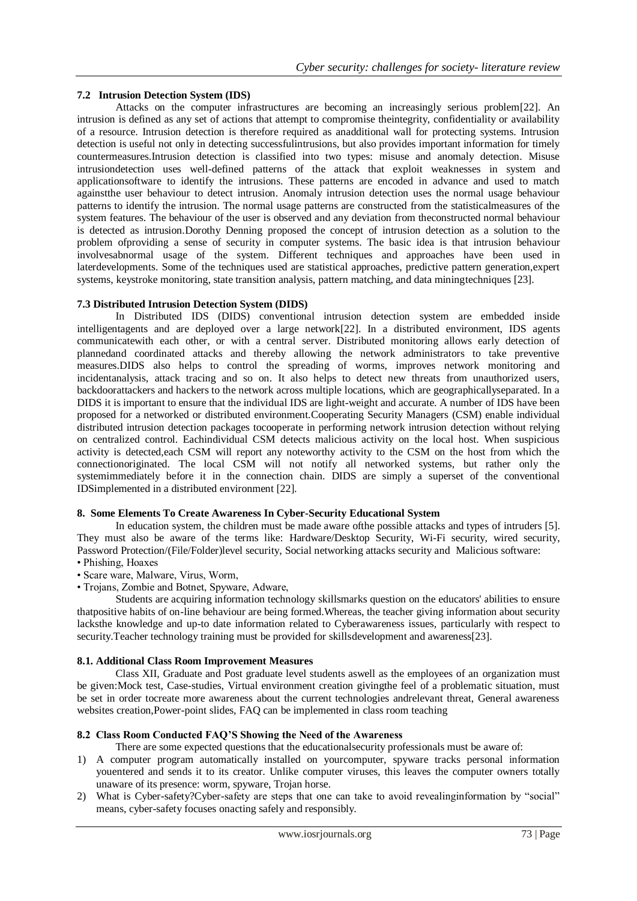### **7.2 Intrusion Detection System (IDS)**

Attacks on the computer infrastructures are becoming an increasingly serious problem[22]. An intrusion is defined as any set of actions that attempt to compromise theintegrity, confidentiality or availability of a resource. Intrusion detection is therefore required as anadditional wall for protecting systems. Intrusion detection is useful not only in detecting successfulintrusions, but also provides important information for timely countermeasures.Intrusion detection is classified into two types: misuse and anomaly detection. Misuse intrusiondetection uses well-defined patterns of the attack that exploit weaknesses in system and applicationsoftware to identify the intrusions. These patterns are encoded in advance and used to match againstthe user behaviour to detect intrusion. Anomaly intrusion detection uses the normal usage behaviour patterns to identify the intrusion. The normal usage patterns are constructed from the statisticalmeasures of the system features. The behaviour of the user is observed and any deviation from theconstructed normal behaviour is detected as intrusion.Dorothy Denning proposed the concept of intrusion detection as a solution to the problem ofproviding a sense of security in computer systems. The basic idea is that intrusion behaviour involvesabnormal usage of the system. Different techniques and approaches have been used in laterdevelopments. Some of the techniques used are statistical approaches, predictive pattern generation,expert systems, keystroke monitoring, state transition analysis, pattern matching, and data miningtechniques [23].

### **7.3 Distributed Intrusion Detection System (DIDS)**

In Distributed IDS (DIDS) conventional intrusion detection system are embedded inside intelligentagents and are deployed over a large network[22]. In a distributed environment, IDS agents communicatewith each other, or with a central server. Distributed monitoring allows early detection of plannedand coordinated attacks and thereby allowing the network administrators to take preventive measures.DIDS also helps to control the spreading of worms, improves network monitoring and incidentanalysis, attack tracing and so on. It also helps to detect new threats from unauthorized users, backdoorattackers and hackers to the network across multiple locations, which are geographicallyseparated. In a DIDS it is important to ensure that the individual IDS are light-weight and accurate. A number of IDS have been proposed for a networked or distributed environment.Cooperating Security Managers (CSM) enable individual distributed intrusion detection packages tocooperate in performing network intrusion detection without relying on centralized control. Eachindividual CSM detects malicious activity on the local host. When suspicious activity is detected,each CSM will report any noteworthy activity to the CSM on the host from which the connectionoriginated. The local CSM will not notify all networked systems, but rather only the systemimmediately before it in the connection chain. DIDS are simply a superset of the conventional IDSimplemented in a distributed environment [22].

#### **8. Some Elements To Create Awareness In Cyber-Security Educational System**

In education system, the children must be made aware ofthe possible attacks and types of intruders [5]. They must also be aware of the terms like: Hardware/Desktop Security, Wi-Fi security, wired security, Password Protection/(File/Folder)level security, Social networking attacks security and Malicious software: • Phishing, Hoaxes

- 
- Scare ware, Malware, Virus, Worm,
- Trojans, Zombie and Botnet, Spyware, Adware,

Students are acquiring information technology skillsmarks question on the educators' abilities to ensure thatpositive habits of on-line behaviour are being formed.Whereas, the teacher giving information about security lacksthe knowledge and up-to date information related to Cyberawareness issues, particularly with respect to security.Teacher technology training must be provided for skillsdevelopment and awareness[23].

#### **8.1. Additional Class Room Improvement Measures**

Class XII, Graduate and Post graduate level students aswell as the employees of an organization must be given:Mock test, Case-studies, Virtual environment creation givingthe feel of a problematic situation, must be set in order tocreate more awareness about the current technologies andrelevant threat, General awareness websites creation, Power-point slides, FAQ can be implemented in class room teaching

### **8.2 Class Room Conducted FAQ'S Showing the Need of the Awareness**

- There are some expected questions that the educationalsecurity professionals must be aware of:
- 1) A computer program automatically installed on yourcomputer, spyware tracks personal information youentered and sends it to its creator. Unlike computer viruses, this leaves the computer owners totally unaware of its presence: worm, spyware, Trojan horse.
- 2) What is Cyber-safety?Cyber-safety are steps that one can take to avoid revealinginformation by "social" means, cyber-safety focuses onacting safely and responsibly.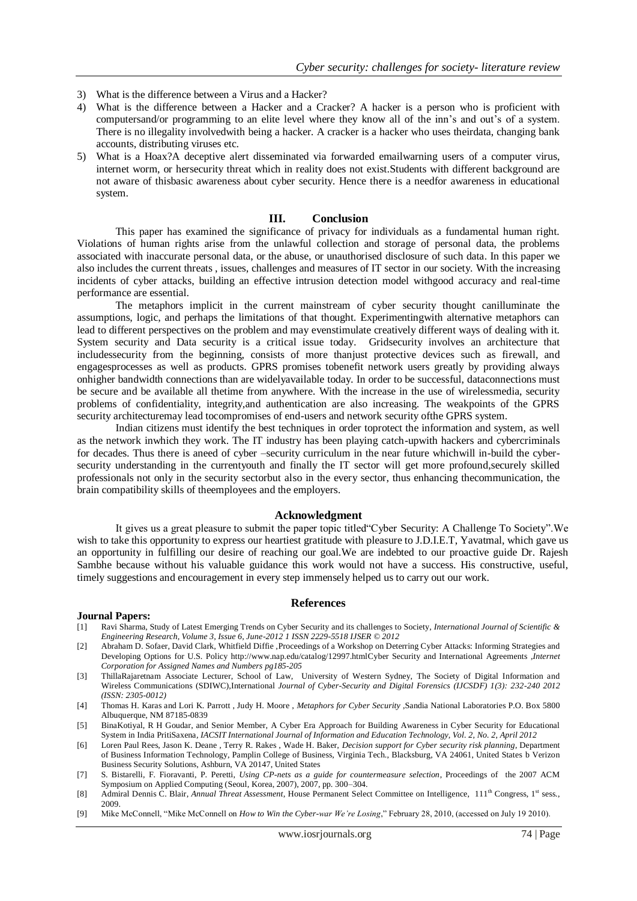- 3) What is the difference between a Virus and a Hacker?
- 4) What is the difference between a Hacker and a Cracker? A hacker is a person who is proficient with computersand/or programming to an elite level where they know all of the inn's and out's of a system. There is no illegality involvedwith being a hacker. A cracker is a hacker who uses theirdata, changing bank accounts, distributing viruses etc.
- 5) What is a Hoax?A deceptive alert disseminated via forwarded emailwarning users of a computer virus, internet worm, or hersecurity threat which in reality does not exist.Students with different background are not aware of thisbasic awareness about cyber security. Hence there is a needfor awareness in educational system.

#### **III. Conclusion**

This paper has examined the significance of privacy for individuals as a fundamental human right. Violations of human rights arise from the unlawful collection and storage of personal data, the problems associated with inaccurate personal data, or the abuse, or unauthorised disclosure of such data. In this paper we also includes the current threats , issues, challenges and measures of IT sector in our society. With the increasing incidents of cyber attacks, building an effective intrusion detection model withgood accuracy and real-time performance are essential.

The metaphors implicit in the current mainstream of cyber security thought canilluminate the assumptions, logic, and perhaps the limitations of that thought. Experimentingwith alternative metaphors can lead to different perspectives on the problem and may evenstimulate creatively different ways of dealing with it. System security and Data security is a critical issue today. Gridsecurity involves an architecture that includessecurity from the beginning, consists of more thanjust protective devices such as firewall, and engagesprocesses as well as products. GPRS promises tobenefit network users greatly by providing always onhigher bandwidth connections than are widelyavailable today. In order to be successful, dataconnections must be secure and be available all thetime from anywhere. With the increase in the use of wirelessmedia, security problems of confidentiality, integrity,and authentication are also increasing. The weakpoints of the GPRS security architecturemay lead tocompromises of end-users and network security ofthe GPRS system.

Indian citizens must identify the best techniques in order toprotect the information and system, as well as the network inwhich they work. The IT industry has been playing catch-upwith hackers and cybercriminals for decades. Thus there is aneed of cyber –security curriculum in the near future whichwill in-build the cybersecurity understanding in the currentyouth and finally the IT sector will get more profound,securely skilled professionals not only in the security sectorbut also in the every sector, thus enhancing thecommunication, the brain compatibility skills of theemployees and the employers.

#### **Acknowledgment**

It gives us a great pleasure to submit the paper topic titled Cyber Security: A Challenge To Society". We wish to take this opportunity to express our heartiest gratitude with pleasure to J.D.I.E.T, Yavatmal, which gave us an opportunity in fulfilling our desire of reaching our goal.We are indebted to our proactive guide Dr. Rajesh Sambhe because without his valuable guidance this work would not have a success. His constructive, useful, timely suggestions and encouragement in every step immensely helped us to carry out our work.

#### **References**

#### **Journal Papers:**

- [1] Ravi Sharma, Study of Latest Emerging Trends on Cyber Security and its challenges to Society, *International Journal of Scientific & Engineering Research, Volume 3, Issue 6, June-2012 1 ISSN 2229-5518 IJSER © 2012*
- [2] Abraham D. Sofaer, David Clark, Whitfield Diffie ,Proceedings of a Workshop on Deterring Cyber Attacks: Informing Strategies and Developing Options for U.S. Policy http://www.nap.edu/catalog/12997.htmlCyber Security and International Agreements *,Internet Corporation for Assigned Names and Numbers pg185-205*
- [3] ThillaRajaretnam Associate Lecturer, School of Law, University of Western Sydney, The Society of Digital Information and Wireless Communications (SDIWC),International *Journal of Cyber-Security and Digital Forensics (IJCSDF) 1(3): 232-240 2012 (ISSN: 2305-0012)*
- [4] Thomas H. Karas and Lori K. Parrott , Judy H. Moore , *Metaphors for Cyber Security* ,Sandia National Laboratories P.O. Box 5800 Albuquerque, NM 87185-0839
- [5] BinaKotiyal, R H Goudar, and Senior Member, A Cyber Era Approach for Building Awareness in Cyber Security for Educational System in India PritiSaxena*, IACSIT International Journal of Information and Education Technology, Vol. 2, No. 2, April 2012*
- [6] Loren Paul Rees, Jason K. Deane , Terry R. Rakes , Wade H. Baker, *Decision support for Cyber security risk planning*, Department of Business Information Technology, Pamplin College of Business, Virginia Tech., Blacksburg, VA 24061, United States b Verizon Business Security Solutions, Ashburn, VA 20147, United States
- [7] S. Bistarelli, F. Fioravanti, P. Peretti, *Using CP-nets as a guide for countermeasure selection*, Proceedings of the 2007 ACM Symposium on Applied Computing (Seoul, Korea, 2007), 2007, pp. 300–304.
- [8] Admiral Dennis C. Blair, *Annual Threat Assessment*, House Permanent Select Committee on Intelligence, 111<sup>th</sup> Congress, 1<sup>st</sup> sess., 2009.
- [9] Mike McConnell, "Mike McConnell on *How to Win the Cyber-war We're Losing*," February 28, 2010, (accessed on July 19 2010).